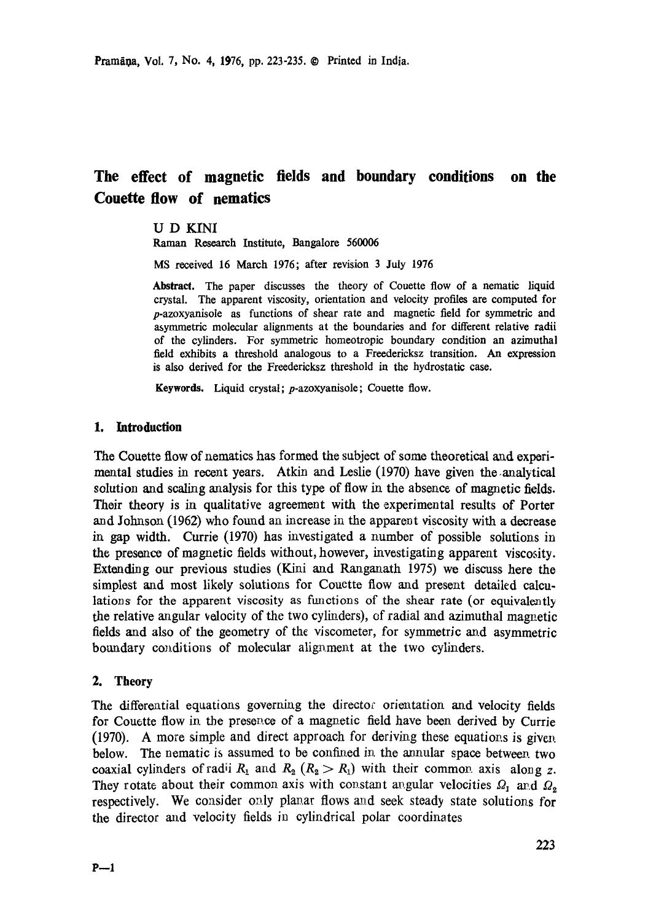# **The effect of magnetic fields and boundary conditions on the Couette flow of nematics**

# U D KINI

Raman Research Institute, Bangalore 560006

MS received 16 March 1976; after revision 3 July 1976

Abstract. The paper discusses the theory of Couette flow of a nematic liquid crystal. The apparent viscosity, orientation and velocity profiles are computed for p-azoxyanisole as functions of shear rate and magnetic field for symmetric and asymmetric molecular alignments at the boundaries and for different relative radii of the cylinders. For symmetric homeotropic boundary condition an azimuthal field exhibits a threshold analogous to a Freedericksz transition. An expression is also derived for the Freedericksz threshold in the hydrostatic case.

Keywords. Liquid crystal; p-azoxyanisole; Couette flow.

# **1. introduction**

The Couette flow of nematics has formed the subject of some theoretical and experimental studies in recent years. Atkin and Leslie (1970) have given the.analytical solution and scaling analysis for this type of flow in the absence of magnetic fields. Their theory is in qualitative agreement with the experimental results of Porter and Jotmson (1962) who found an increase in the apparent viscosity with a decrease in gap width. Currie (1970) has investigated a number of possible solutions in the presence of magnetic fields without, however, investigating apparent viscosity. Extending our previous studies (Kini and Ranganath 1975) we discuss here the simplest and most likely solutions for Couctte flow and present detailed calculations for the apparent viscosity as functions of the shear rate (or equivalently the relative angular velocity of the two cylinders), of radial and azimuthal magnetic fields and also of the geometry of the viscometer, for symmetric and asymmetric boundary conditions of molecular alignment at the two cylinders.

# 2. **Theory**

The differential equations governing the director orientation and velocity fields for Couette flow in the presence of a magnetic field have been derived by Currie  $(1970)$ . A more simple and direct approach for deriving these equations is given below. The nematic is assumed to be confined in the annular space between two coaxial cylinders of radii  $R_1$  and  $R_2$  ( $R_2 > R_1$ ) with their common axis along z. They rotate about their common axis with constant angular velocities  $\Omega_1$  and  $\Omega_2$ respectively. We consider only planar flows and seek steady state solutions for the director and velocity fields in cylindrical polar coordinates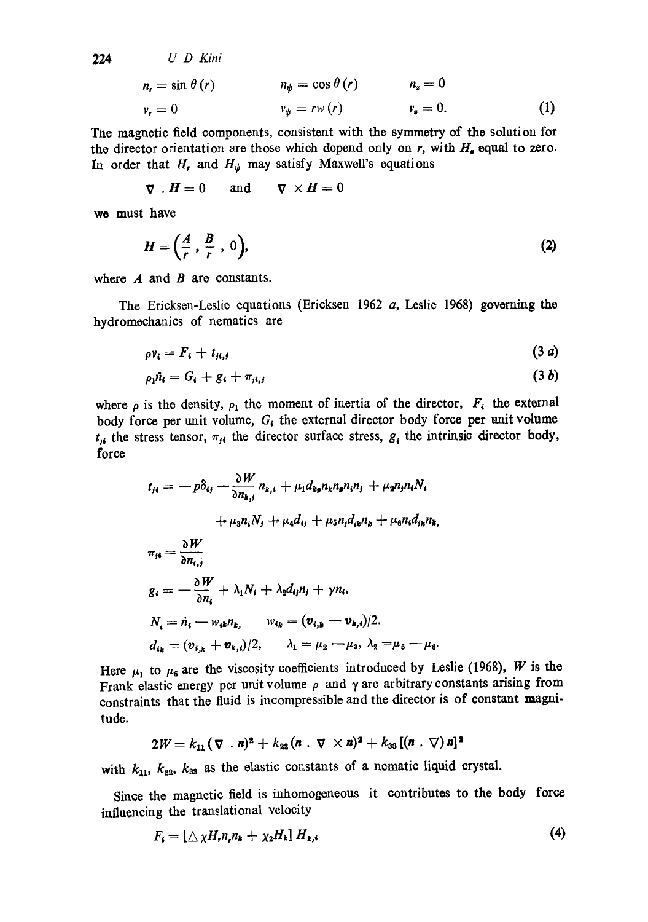224

\n
$$
U \quad D \quad Kini
$$
\n
$$
n_r = \sin \theta \, (r)
$$
\n
$$
n_{\psi} = \cos \theta \, (r)
$$
\n
$$
n_z = 0
$$
\n
$$
v_r = 0
$$
\n
$$
v_{\psi} = rw \, (r)
$$
\n
$$
v_z = 0.
$$
\n(1)

The magnetic field components, consistent with the symmetry of the solution for the director orientation are those which depend only on  $r$ , with  $H<sub>s</sub>$  equal to zero. In order that H, and  $H_{\psi}$  may satisfy Maxwell's equations

$$
\nabla \cdot \boldsymbol{H} = 0 \quad \text{and} \quad \nabla \times \boldsymbol{H} = 0
$$

we must have

$$
H = \left(\frac{A}{r}, \frac{B}{r}, 0\right),\tag{2}
$$

where  $A$  and  $B$  are constants.

The Ericksen-Leslie equations (Ericksen 1962 a, Leslie 1968) governing the hydromechanics of nematics are

$$
\rho v_i = F_i + t_{ji,j} \tag{3 a}
$$

$$
\rho_1 \tilde{n}_i = G_i + g_i + \pi_{ji,j} \tag{3 b}
$$

where  $\rho$  is the density,  $\rho_1$  the moment of inertia of the director,  $F_i$  the external body force per unit volume,  $G_i$  the external director body force per unit volume  $t_{i,j}$  the stress tensor,  $\pi_{j,i}$  the director surface stress,  $g_i$  the intrinsic director body, force

$$
t_{ji} = -p\delta_{ij} - \frac{\partial W}{\partial n_{k,j}} n_{k,i} + \mu_1 d_{kp} n_k n_p n_i n_j + \mu_2 n_j n_i N_i
$$
  
+  $\mu_3 n_i N_j + \mu_4 d_{ij} + \mu_5 n_j d_{ik} n_k + \mu_6 n_i d_{jk} n_k$ ,  

$$
\pi_{ji} = \frac{\partial W}{\partial n_{i,j}}
$$
  

$$
g_i = -\frac{\partial W}{\partial n_i} + \lambda_1 N_i + \lambda_2 d_{ij} n_j + \gamma n_i,
$$
  

$$
N_i = \dot{n}_i - w_{ik} n_k, \qquad w_{ik} = (v_{i,k} - v_{k,i})/2.
$$
  

$$
d_{ik} = (v_{i,k} + v_{k,i})/2, \qquad \lambda_1 = \mu_2 - \mu_3, \ \lambda_3 = \mu_5 - \mu_6.
$$

Here  $\mu_1$  to  $\mu_6$  are the viscosity coefficients introduced by Leslie (1968), W is the Frank elastic energy per unit volume  $\rho$  and  $\gamma$  are arbitrary constants arising from constraints that the fluid is incompressible and the director is of constant magnitude.

$$
2W = k_{11} (\nabla \cdot \mathbf{n})^2 + k_{22} (n \cdot \nabla \times \mathbf{n})^2 + k_{33} [(n \cdot \nabla) \mathbf{n}]^2
$$

with  $k_{11}$ ,  $k_{22}$ ,  $k_{33}$  as the elastic constants of a nematic liquid crystal.

Since the magnetic field is inhomogeneous it contributes to the body force influencing the translational velocity

$$
F_{\mathbf{i}} = [\triangle \chi H_{\mathbf{i}} n_{\mathbf{i}} n_{\mathbf{k}} + \chi_2 H_{\mathbf{k}}] H_{\mathbf{k},\mathbf{i}} \tag{4}
$$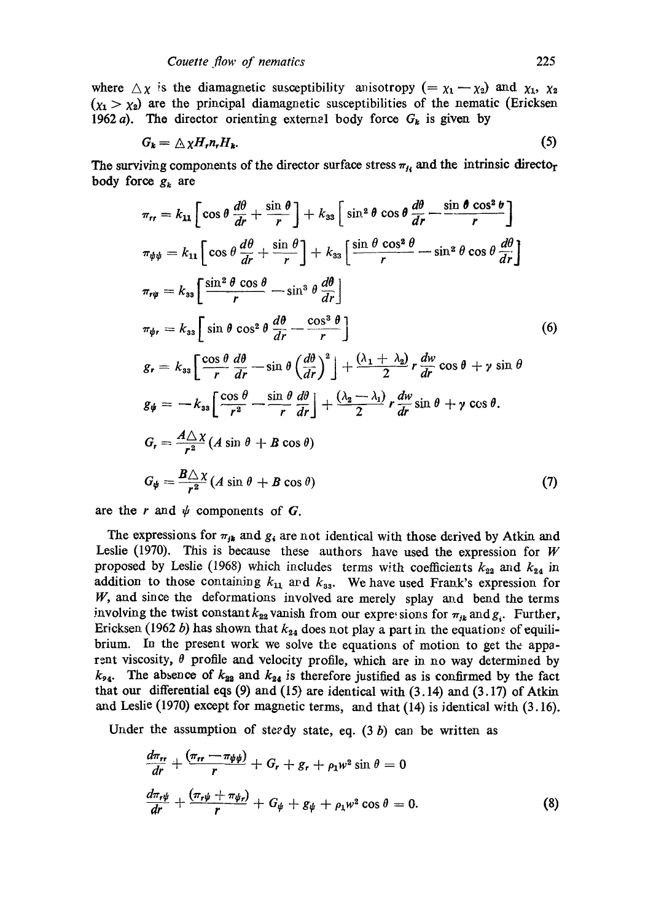where  $\Delta \chi$  is the diamagnetic susceptibility anisotropy (=  $\chi_1 - \chi_2$ ) and  $\chi_1$ ,  $\chi_2$  $(x_1 > x_2)$  are the principal diamagnetic susceptibilities of the nematic (Ericksen 1962 a). The director orienting external body force  $G_k$  is given by

$$
G_k = \Delta \chi H_r n_r H_k. \tag{5}
$$

The surviving components of the director surface stress  $\pi_{li}$  and the intrinsic directo<sub>r</sub> body force  $g_k$  are

$$
\pi_{rr} = k_{11} \left[ \cos \theta \frac{d\theta}{dr} + \frac{\sin \theta}{r} \right] + k_{33} \left[ \sin^2 \theta \cos \theta \frac{d\theta}{dr} - \frac{\sin \theta \cos^2 \theta}{r} \right]
$$
  
\n
$$
\pi_{\psi\psi} = k_{11} \left[ \cos \theta \frac{d\theta}{dr} + \frac{\sin \theta}{r} \right] + k_{33} \left[ \frac{\sin \theta \cos^2 \theta}{r} - \sin^2 \theta \cos \theta \frac{d\theta}{dr} \right]
$$
  
\n
$$
\pi_{r\psi} = k_{33} \left[ \frac{\sin^2 \theta \cos \theta}{r} - \sin^3 \theta \frac{d\theta}{dr} \right]
$$
  
\n
$$
\pi_{\psi r} = k_{33} \left[ \sin \theta \cos^2 \theta \frac{d\theta}{dr} - \frac{\cos^3 \theta}{r} \right]
$$
  
\n
$$
g_r = k_{33} \left[ \frac{\cos \theta}{r} \frac{d\theta}{dr} - \sin \theta \left( \frac{d\theta}{dr} \right)^2 \right] + \frac{(\lambda_1 + \lambda_2)}{2} r \frac{dw}{dr} \cos \theta + \gamma \sin \theta
$$
  
\n
$$
g_{\psi} = -k_{33} \left[ \frac{\cos \theta}{r^2} - \frac{\sin \theta}{r} \frac{d\theta}{dr} \right] + \frac{(\lambda_2 - \lambda_1)}{2} r \frac{dw}{dr} \sin \theta + \gamma \cos \theta.
$$
  
\n
$$
G_r = \frac{A \triangle \chi}{r^2} (A \sin \theta + B \cos \theta)
$$
  
\n
$$
G_{\psi} = \frac{B \triangle \chi}{r^2} (A \sin \theta + B \cos \theta)
$$
  
\n(7)

are the r and  $\psi$  components of G.

The expressions for  $\pi_{jk}$  and  $g_i$  are not identical with those derived by Atkin and Leslie (1970). This is because these authors have used the expression for  $W$ proposed by Leslie (1968) which includes terms with coefficients  $k_{22}$  and  $k_{24}$  in addition to those containing  $k_{11}$  and  $k_{33}$ . We have used Frank's expression for W, and since the deformations involved are merely splay and bend the terms involving the twist constant  $k_{22}$  vanish from our expressions for  $\pi_{jk}$  and  $g_i$ . Further, Ericksen (1962 b) has shown that  $k_{24}$  does not play a part in the equations of equilibrium. In the present work we solve the equations of motion to get the apparent viscosity,  $\theta$  profile and velocity profile, which are in no way determined by  $k_{24}$ . The absence of  $k_{22}$  and  $k_{24}$  is therefore justified as is confirmed by the fact that our differential eqs (9) and (15) are identical with (3.14) and (3.17) of Atkin and Leslie (1970) except for magnetic terms, and that (14) is identical with (3.16).

Under the assumption of steedy state, eq.  $(3 b)$  can be written as

$$
\frac{d\pi_{rr}}{dr} + \frac{(\pi_{rr} - \pi_{\psi\psi})}{r} + G_r + g_r + \rho_1 w^2 \sin \theta = 0
$$
\n
$$
\frac{d\pi_{r\psi}}{dr} + \frac{(\pi_{r\psi} + \pi_{\psi r})}{r} + G_{\psi} + g_{\psi} + \rho_1 w^2 \cos \theta = 0.
$$
\n(8)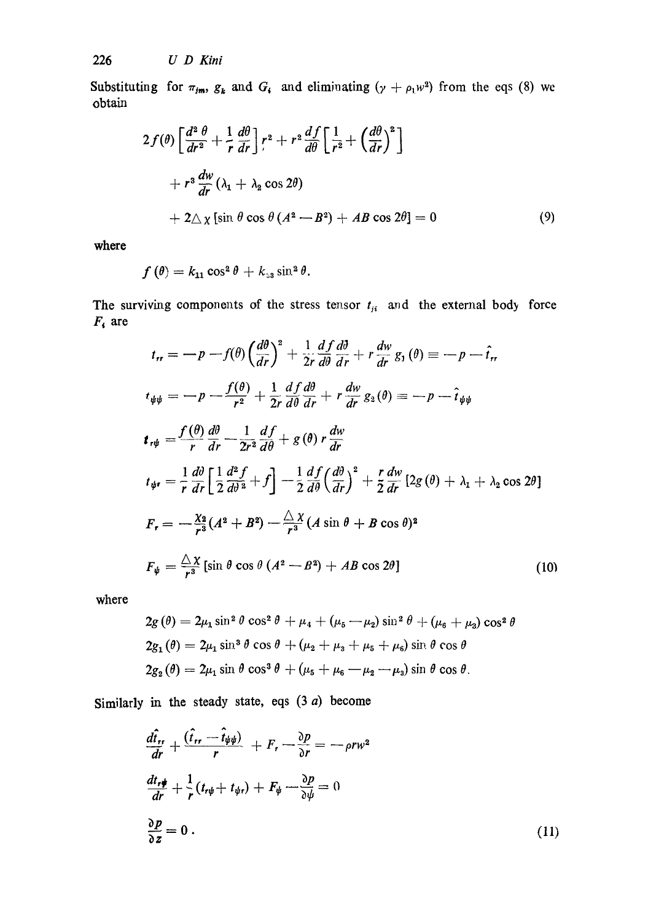Substituting for  $\pi_{\mathbf{j}\mathbf{m}}$ ,  $g_k$  and  $G_i$  and eliminating  $(\gamma + \rho_1 w^2)$  from the eqs (8) we obtain

$$
2f(\theta)\left[\frac{d^2\theta}{dr^2} + \frac{1}{r}\frac{d\theta}{dr}\right]r^2 + r^2\frac{df}{d\theta}\left[\frac{1}{r^2} + \left(\frac{d\theta}{dr}\right)^2\right] + r^3\frac{dw}{dr}(\lambda_1 + \lambda_2\cos 2\theta) + 2\Delta\chi\left[\sin\theta\cos\theta\left(A^2 - B^2\right) + AB\cos 2\theta\right] = 0
$$
 (9)

**where** 

$$
f(\theta) = k_{11} \cos^2 \theta + k_{33} \sin^2 \theta.
$$

The surviving components of the stress tensor  $t_{ji}$  and the external body force  $F_i$  are

$$
t_{rr} = -p - f(\theta) \left(\frac{d\theta}{dr}\right)^2 + \frac{1}{2r} \frac{df}{d\theta} \frac{d\theta}{dr} + r \frac{dw}{dr} g_1(\theta) = -p - \hat{t}_r,
$$
  
\n
$$
t_{\psi\psi} = -p - \frac{f(\theta)}{r^2} + \frac{1}{2r} \frac{df}{d\theta} \frac{d\theta}{dr} + r \frac{dw}{dr} g_2(\theta) = -p - \hat{t}_{\psi\psi}
$$
  
\n
$$
t_{r\psi} = \frac{f(\theta)}{r} \frac{d\theta}{dr} - \frac{1}{2r^2} \frac{df}{d\theta} + g(\theta) r \frac{dw}{dr}
$$
  
\n
$$
t_{\psi r} = \frac{1}{r} \frac{d\theta}{dr} \left[ \frac{1}{2} \frac{d^2f}{d\theta^2} + f \right] - \frac{1}{2} \frac{df}{d\theta} \left(\frac{d\theta}{dr}\right)^2 + \frac{r}{2} \frac{dw}{dr} [2g(\theta) + \lambda_1 + \lambda_2 \cos 2\theta]
$$
  
\n
$$
F_r = -\frac{\lambda_2}{r^3} (A^2 + B^2) - \frac{\Delta}{r^3} (A \sin \theta + B \cos \theta)^2
$$
  
\n
$$
F_{\psi} = \frac{\Delta x}{r^3} [\sin \theta \cos \theta (A^2 - B^2) + AB \cos 2\theta]
$$
 (10)

where

$$
2g(\theta) = 2\mu_1 \sin^2 \theta \cos^2 \theta + \mu_4 + (\mu_5 - \mu_2) \sin^2 \theta + (\mu_6 + \mu_3) \cos^2 \theta
$$
  
\n
$$
2g_1(\theta) = 2\mu_1 \sin^3 \theta \cos \theta + (\mu_2 + \mu_3 + \mu_5 + \mu_6) \sin \theta \cos \theta
$$
  
\n
$$
2g_2(\theta) = 2\mu_1 \sin \theta \cos^3 \theta + (\mu_5 + \mu_6 - \mu_2 - \mu_3) \sin \theta \cos \theta.
$$

Similarly in the steady state, eqs  $(3 \ a)$  become

$$
\frac{d\hat{t}_{rr}}{dr} + \frac{(\hat{t}_{rr} - \hat{t}_{\psi\psi})}{r} + F_r - \frac{\partial p}{\partial r} = -\rho r w^2
$$
\n
$$
\frac{dt_{r\psi}}{dr} + \frac{1}{r}(t_{r\psi} + t_{\psi r}) + F_{\psi} - \frac{\partial p}{\partial \psi} = 0
$$
\n
$$
\frac{\partial p}{\partial z} = 0.
$$
\n(11)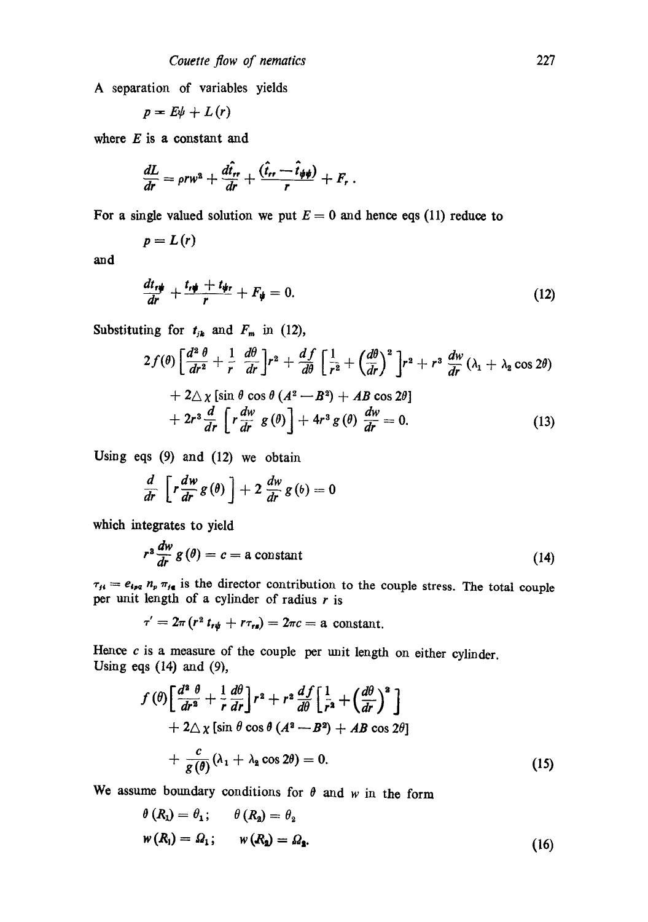A separation of variables yields

$$
p=E\psi+L(r)
$$

where  $E$  is a constant and

$$
\frac{dL}{dr} = \rho r w^2 + \frac{d\hat{t}_r}{dr} + \frac{(\hat{t}_r - \hat{t}_\psi \psi)}{r} + F_r.
$$

For a single valued solution we put  $E = 0$  and hence eqs (11) reduce to

$$
p=L(r)
$$

and

$$
\frac{dt_{r\psi}}{dr} + \frac{t_{r\psi} + t_{\psi r}}{r} + F_{\psi} = 0.
$$
\n(12)

Substituting for  $t_{jk}$  and  $F_m$  in (12),

$$
2f(\theta)\left[\frac{d^2\theta}{dr^2}+\frac{1}{r}\frac{d\theta}{dr}\right]r^2+\frac{df}{d\theta}\left[\frac{1}{r^2}+\left(\frac{d\theta}{dr}\right)^2\right]r^2+r^3\frac{dw}{dr}(\lambda_1+\lambda_2\cos 2\theta)\\+2\Delta\chi\left[\sin\theta\cos\theta\left(A^2-B^2\right)+AB\cos 2\theta\right]\\+2r^3\frac{d}{dr}\left[r\frac{dw}{dr}g(\theta)\right]+4r^3g(\theta)\frac{dw}{dr}=0.\tag{13}
$$

Using eqs (9) and (12) we obtain

$$
\frac{d}{dr}\left[r\frac{dw}{dr}g(\theta)\right]+2\frac{dw}{dr}g(\theta)=0
$$

which integrates to yield

$$
r^2 \frac{dw}{dr} g(\theta) = c = \text{a constant} \tag{14}
$$

 $\tau_{\mu} = e_{\mu} a_{\mu} \pi_{\mu}$  is the director contribution to the couple stress. The total couple per unit length of a cylinder of radius  $r$  is

$$
\tau'=2\pi (r^2 t_{r\psi}+r\tau_{rs})=2\pi c=a \text{ constant}.
$$

Hence  $c$  is a measure of the couple per unit length on either cylinder. Using eqs  $(14)$  and  $(9)$ ,

$$
f(\theta) \left[ \frac{d^2 \theta}{dr^2} + \frac{1}{r} \frac{d\theta}{dr} \right] r^2 + r^2 \frac{df}{d\theta} \left[ \frac{1}{r^2} + \left( \frac{d\theta}{dr} \right)^2 \right] + 2\Delta \chi \left[ \sin \theta \cos \theta (A^2 - B^2) + AB \cos 2\theta \right] + \frac{c}{g(\theta)} (\lambda_1 + \lambda_2 \cos 2\theta) = 0.
$$
 (15)

We assume boundary conditions for  $\theta$  and w in the form

$$
\theta(R_1) = \theta_1; \qquad \theta(R_2) = \theta_2
$$
  

$$
w(R_1) = \Omega_1; \qquad w(R_2) = \Omega_2.
$$
 (16)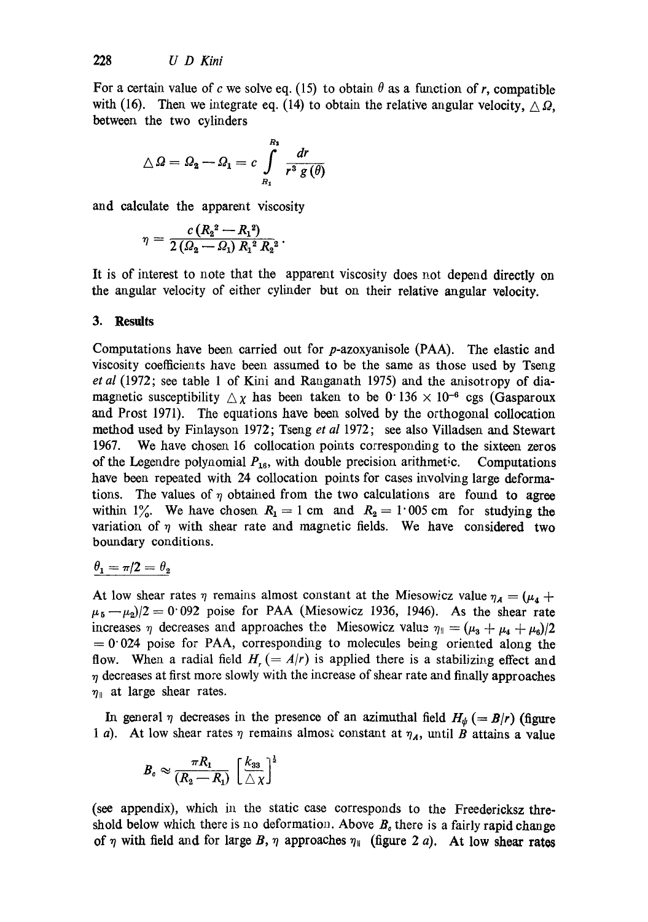For a certain value of c we solve eq. (15) to obtain  $\theta$  as a function of r, compatible with (16). Then we integrate eq. (14) to obtain the relative angular velocity,  $\wedge \Omega$ , between the two cylinders

$$
\triangle \varOmega = \varOmega_2 - \varOmega_1 = c \int\limits_{R_1}^{R_1} \frac{dr}{r^3 \, g\left(\theta\right)}
$$

and calculate the apparent viscosity

$$
\eta = \frac{c\,(R_2{}^2 - R_1{}^2)}{2\,(Q_2 - Q_1)\,R_1{}^2\,R_2{}^2} \,.
$$

It is of interest to note that the apparent viscosity does not depend directly on the angular velocity of either cylinder but on their relative angular velocity.

#### **3. Results**

Computations have been carried out for  $p$ -azoxyanisole (PAA). The elastic and viscosity coefficients have been assumed to be the same as those used by Tseng *et al* (1972; see table 1 of Kini and Ranganath 1975) and the anisotropy of diamagnetic susceptibility  $\Delta \chi$  has been taken to be 0 136  $\times$  10<sup>-6</sup> cgs (Gasparoux and Prost 1971). The equations have been solved by the orthogonal collocation method used by Finlayson 1972; Tseng *et al* 1972; see also Villadsen and Stewart 1967. We have chosen 16 collocation points corresponding to the sixteen zeros of the Legendre polynomial  $P_{16}$ , with double precision arithmetic. Computations have been repeated with 24 collocation points for cases involving large deformations. The values of  $\eta$  obtained from the two calculations are found to agree within 1%. We have chosen  $R_1 = 1$  cm and  $R_2 = 1.005$  cm for studying the variation of  $\eta$  with shear rate and magnetic fields. We have considered two boundary conditions.

# $\theta_1 = \pi/2 = \theta_2$

At low shear rates  $\eta$  remains almost constant at the Miesowicz value  $\eta_A = (\mu_4 + \mu_5)$  $\mu_5-\mu_2/2=0.092$  poise for PAA (Miesowicz 1936, 1946). As the shear rate increases  $\eta$  decreases and approaches the Miesowicz value  $\eta_{\parallel} = (\mu_3 + \mu_4 + \mu_6)/2$  $= 0.024$  poise for PAA, corresponding to molecules being oriented along the flow. When a radial field  $H_t = A/r$  is applied there is a stabilizing effect and  $\eta$  decreases at first more slowly with the increase of shear rate and finally approaches  $\eta_{\parallel}$  at large shear rates.

In general  $\eta$  decreases in the presence of an azimuthal field  $H_{\psi} (= B/r)$  (figure 1 a). At low shear rates  $\eta$  remains almost constant at  $\eta_A$ , until B attains a value

$$
B_o \approx \frac{\pi R_1}{(R_2 - R_1)} \left[\frac{k_{33}}{\triangle \chi}\right]^{\frac{1}{2}}
$$

(see appendix), which in the static case corresponds to the Freedericksz threshold below which there is no deformation. Above  $B<sub>c</sub>$  there is a fairly rapid change of  $\eta$  with field and for large B,  $\eta$  approaches  $\eta_{\parallel}$  (figure 2 a). At low shear rates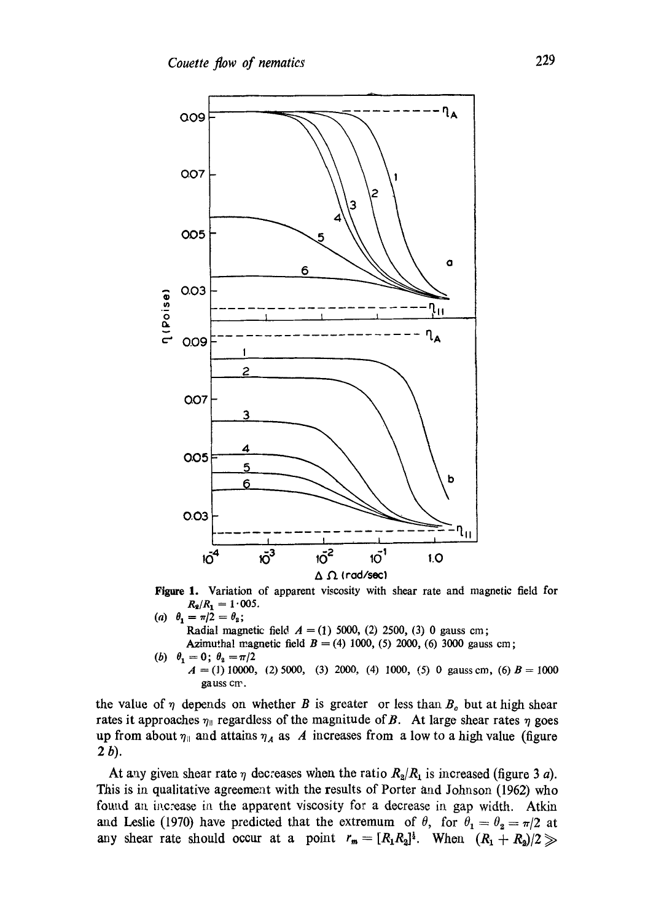

Figure 1. Variation of apparent viscosity with shear rate and magnetic field for  $R_2/R_1 = 1.005$ .

*(a)*  $\theta_1 = \pi/2 = \theta_2;$ Radial magnetic field  $A = (1)$  5000, (2) 2500, (3) 0 gauss cm; Azimuthal magnetic field  $B = (4) 1000, (5) 2000, (6) 3000$  gauss cm; (b)  $\theta_1 = 0$ ;  $\theta_2 = \pi/2$  $A = (1) 10000, (2) 5000, (3) 2000, (4) 1000, (5) 0$  gauss cm, (6)  $B = 1000$ 

the value of  $\eta$  depends on whether B is greater or less than  $B_{\rho}$  but at high shear rates it approaches  $\eta_{\parallel}$  regardless of the magnitude of B. At large shear rates  $\eta$  goes up from about  $\eta_{\parallel}$  and attains  $\eta_A$  as A increases from a low to a high value (figure 2 b).

gauss cm.

At any given shear rate  $\eta$  decreases when the ratio  $R_2/R_1$  is increased (figure 3 a). This is ia qualitative agreement with the results of Porter and Johnson (1962) who found an increase in the apparent viscosity for a decrease in gap width. Atkin and Leslie (1970) have predicted that the extremum of  $\theta$ , for  $\theta_1 = \theta_2 = \pi/2$  at any shear rate should occur at a point  $r_m = [R_1R_2]^{\frac{1}{2}}$ . When  $(R_1 + R_2)/2$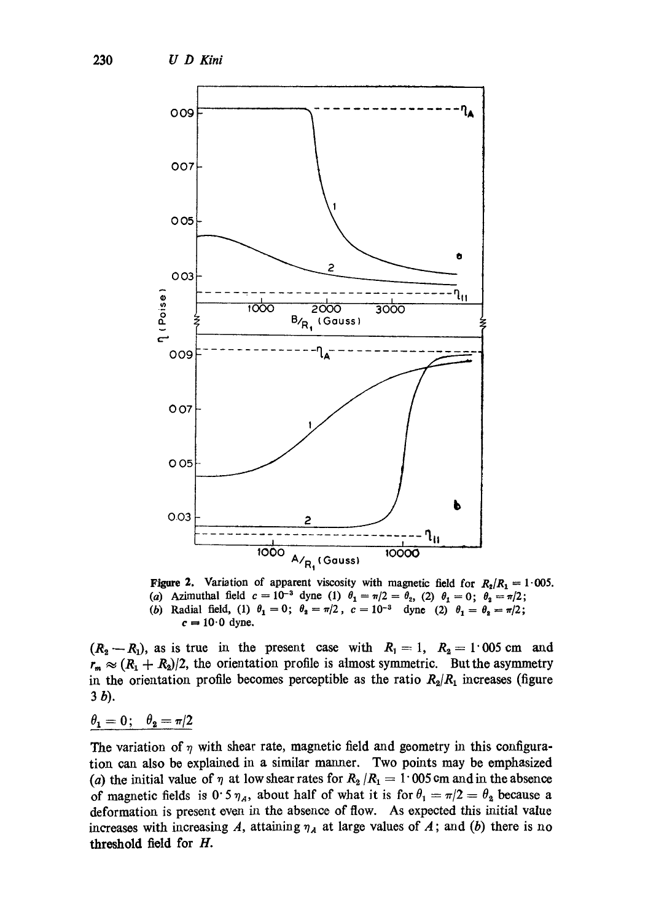

Figure 2. Variation of apparent viscosity with magnetic field for  $R_2/R_1 = 1.005$ . (a) Azimuthal field  $c=10^{-3}$  dyne (1)  $\theta_1=\pi/2=\theta_2$ , (2)  $\theta_1=0$ ;  $\theta_2=\pi/2$ ; (b) Radial field, (1)  $\theta_1 = 0$ ;  $\theta_2 = \pi/2$ ,  $c = 10^{-3}$  dyne (2)  $\theta_1 = \theta_2 = \pi/2$ ;  $c = 10.0$  dyne.

 $(R_2-R_1)$ , as is true in the present case with  $R_1=1$ ,  $R_2=1.005$  cm and  $r_m \approx (R_1 + R_2)/2$ , the orientation profile is almost symmetric. But the asymmetry in the orientation profile becomes perceptible as the ratio  $R_2/R_1$  increases (figure 3b).

 $\theta_1=0$ ;  $\theta_2=\pi/2$ 

The variation of  $\eta$  with shear rate, magnetic field and geometry in this configuration can also be explained in a similar manner. Two points may be emphasized (a) the initial value of  $\eta$  at low shear rates for  $R_2/R_1 = 1.005$  cm and in the absence of magnetic fields is  $0.5 \eta_A$ , about half of what it is for  $\theta_1 = \pi/2 = \theta_2$  because a deformation is present oven ia the absence of flow. As expected this initial value increases with increasing A, attaining  $\eta_A$  at large values of A; and (b) there is no threshold field for H.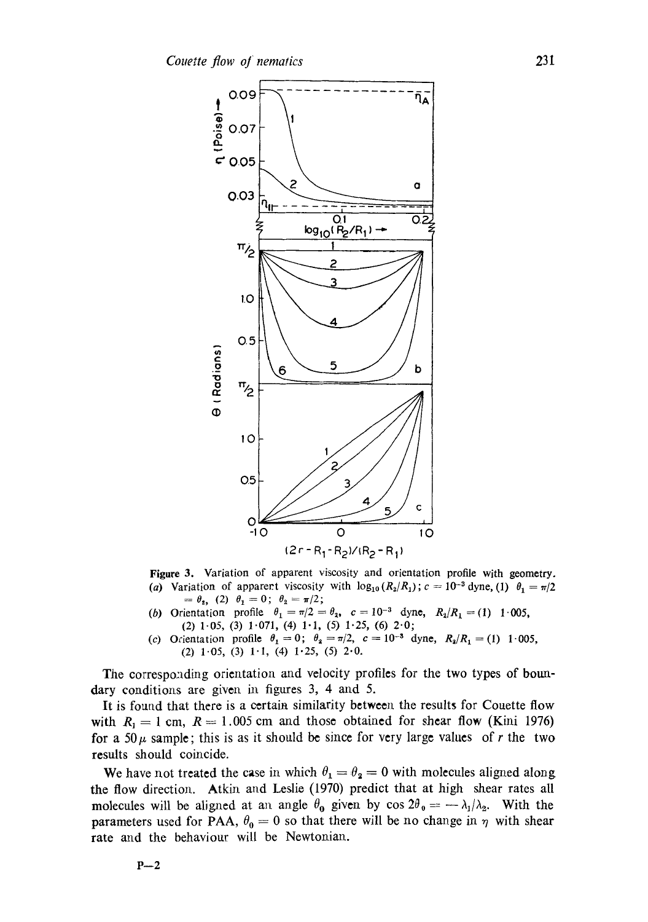

**Figure** 3. Variation of apparent viscosity and orientation profile with geometry. (a) Variation of apparent viscosity with  $\log_{10} (R_2/R_1)$ ;  $c = 10^{-3}$  dyne, (1)  $\theta_1 = \pi/2$  $= \theta_2, (2) \theta_1 = 0; \theta_2 = \pi/2;$ 

- (b) Orientation profile  $\theta_1 = \pi/2 = \theta_3$ ,  $c = 10^{-3}$  dyne,  $R_2/R_1 = (1)$  1.005, (2)  $1-05$ , (3)  $1-071$ , (4)  $1-1$ , (5)  $1-25$ , (6)  $2-0$ ;
- (c) Ocientation profile  $\theta_1 = 0$ ;  $\theta_2 = \pi/2$ ,  $c = 10^{-3}$  dyne,  $R_2/R_1 = (1)$  1.005, (2)  $1.05$ , (3)  $1.1$ , (4)  $1.25$ , (5)  $2.0$ .

The corresponding orientation and velocity profiles for the two types of boundary conditions are given in figures  $3, 4$  and  $5$ .

It is found that there is a certain similarity between the results for Couette flow with  $R_1 = 1$  cm,  $R = 1.005$  cm and those obtained for shear flow (Kini 1976) for a 50 $\mu$  sample; this is as it should be since for very large values of r the two results should coincide.

We have not treated the case in which  $\theta_1 = \theta_2 = 0$  with molecules aligned along the flow direction. Atkin and Leslie (1970) predict that at high shear rates all molecules will be aligned at an angle  $\theta_0$  given by cos  $2\theta_0 = -\lambda_1/\lambda_2$ . With the parameters used for PAA,  $\theta_0 = 0$  so that there will be no change in  $\eta$  with shear rate and the behaviour will be Newtonian.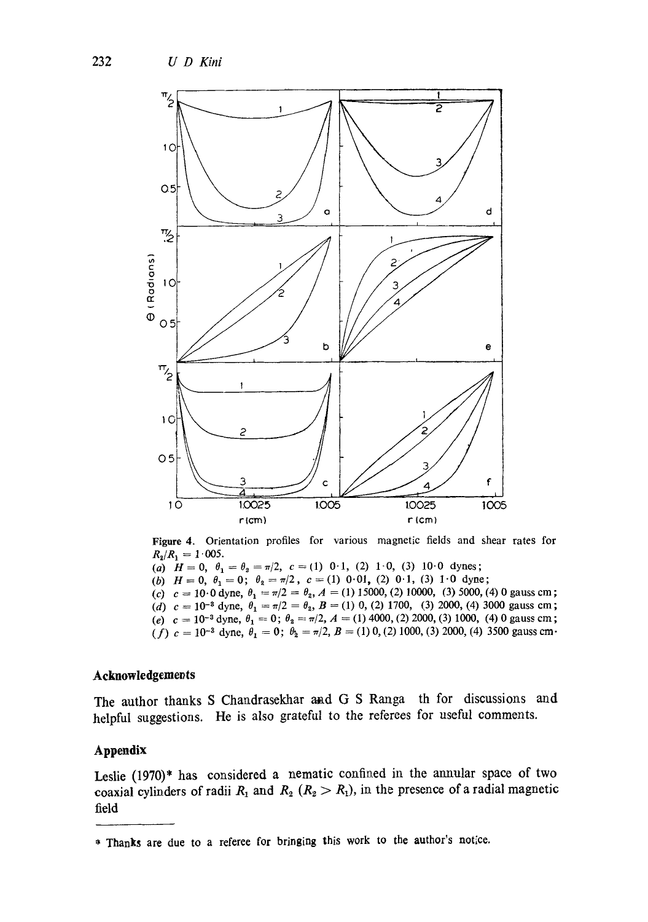

**Figure** 4. Orientation profiles for various magnetic fields and shear rates for  $R_2/R_1 = 1.005$ .

(a)  $H=0$ ,  $\theta_1=\theta_2=\pi/2$ ,  $c=(1)$  0.1, (2) 1.0, (3) 10.0 dynes;

(b)  $H=0$ ,  $\theta_1 = 0$ ;  $\theta_2 = \pi/2$ ,  $c=(1)$  0.01, (2) 0.1, (3) 1.0 dyne;

(c)  $c = 10.0$  dyne,  $\theta_1 = \pi/2 = \theta_2$ ,  $A = (1)$  15000, (2) 10000, (3) 5000, (4) 0 gauss cm; (d)  $c = 10^{-3}$  dyne,  $\theta_1 = \pi/2 = \theta_2$ ,  $B = (1)$  0, (2) 1700, (3) 2000, (4) 3000 gauss cm; (e)  $c = 10^{-3}$  dyne,  $\theta_1 = 0$ ;  $\theta_2 = \pi/2$ ,  $A = (1)$  4000, (2) 2000, (3) 1000, (4) 0 gauss cm; (f)  $c = 10^{-3}$  dyne,  $\theta_1 = 0$ ;  $\theta_2 = \pi/2$ ,  $B = (1) 0$ , (2) 1000, (3) 2000, (4) 3500 gauss cm.

## **Acknowledgements**

The author thanks S Chandrasekhar and G S Ranga th for discussions and helpful suggestions. He is also grateful to the referees for useful comments.

#### **Appendix**

Leslie  $(1970)^*$  has considered a nematic confined in the annular space of two coaxial cylinders of radii  $R_1$  and  $R_2$  ( $R_2 > R_1$ ), in the presence of a radial magnetic field

<sup>\*</sup> Thanks are due to a referee for bringing this work to the author's notice.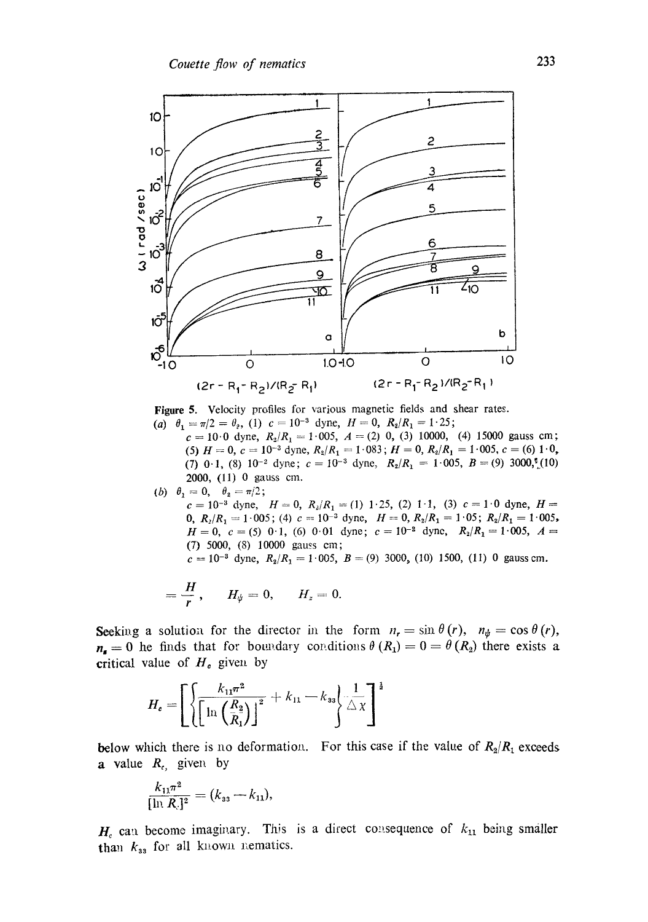

**Figure 5. Velocity profiles for various magnetic fields and shear rates.**  (a)  $\theta_1 = \pi/2 = \theta_2$ , (1)  $c = 10^{-3}$  dyne,  $H = 0$ ,  $R_2/R_1 = 1.25$ ;

 $c = 10.0$  dyne,  $R_2/R_1 = 1.005$ ,  $A = (2) 0$ , (3) 10000, (4) 15000 gauss cm; (5)  $H = 0$ ,  $c = 10^{-3}$  dyne,  $R_2/R_1 = 1.083$ ;  $H = 0$ ,  $R_2/R_1 = 1.005$ ,  $c = (6) 1.0$ , (7) 0.1, (8) 10<sup>-2</sup> dyne;  $c = 10^{-3}$  dyne,  $R_2/R_1 = 1.005$ ,  $B = (9) 3000$ ,<sup>e</sup><sub>1</sub>(10) 2000, (11) 0 gauss cm.

(b)  $\theta_1=0, \quad \theta_2=\pi/2;$  $c=10^{-3}$  dyne,  $H=0$ ,  $R_2/R_1 = (1) 1.25$ , (2) 1.1, (3)  $c=1.0$  dyne,  $H=$ 0,  $R_2/R_1 = 1.005$ ; (4)  $c = 10^{-3}$  dyne,  $H = 0$ ,  $R_2/R_1 = 1.05$ ;  $R_2/R_1 = 1.005$ ,  $H=0$ ,  $c=(5)$  0.1, (6) 0.01 dyne;  $c=10^{-2}$  dyne,  $R_2/R_1=1.005$ ,  $A=$ (7) 5000, (8) 10000 gauss **era;**   $c = 10^{-3}$  dyne,  $R_2/R_1 = 1.005$ ,  $B = (9) 3000$ , (10) 1500, (11) 0 gauss cm.

$$
=\frac{H}{r},\qquad H_{\psi}=0,\qquad H_{z}=0.
$$

**Seeking a solution for the director in the form**  $n_r = \sin \theta(r)$ **,**  $n_{\psi} = \cos \theta(r)$ **,**  $n_{\rm s}=0$  he finds that for boundary conditions  $\theta(R_1)=0=\theta(R_2)$  there exists a **critical value of**  $H<sub>o</sub>$  **given by** 

$$
H_{c} = \left[ \left\{ \frac{k_{11}\pi^{2}}{\left[\ln\left(\frac{R_{2}}{R_{1}}\right)\right]^{2}} + k_{11} - k_{33} \right\} \frac{1}{\triangle x} \right]^{1}
$$

**below which there is no deformation.** For this case if the value of  $R_2/R_1$  exceeds **a** value  $R_c$ , given by

$$
\frac{k_{11}\pi^2}{[\ln R_c]^2} = (k_{33} - k_{11}),
$$

 $H<sub>c</sub>$  can become imaginary. This is a direct consequence of  $k_{11}$  being smaller  $\theta_{33}$  for all known nematics.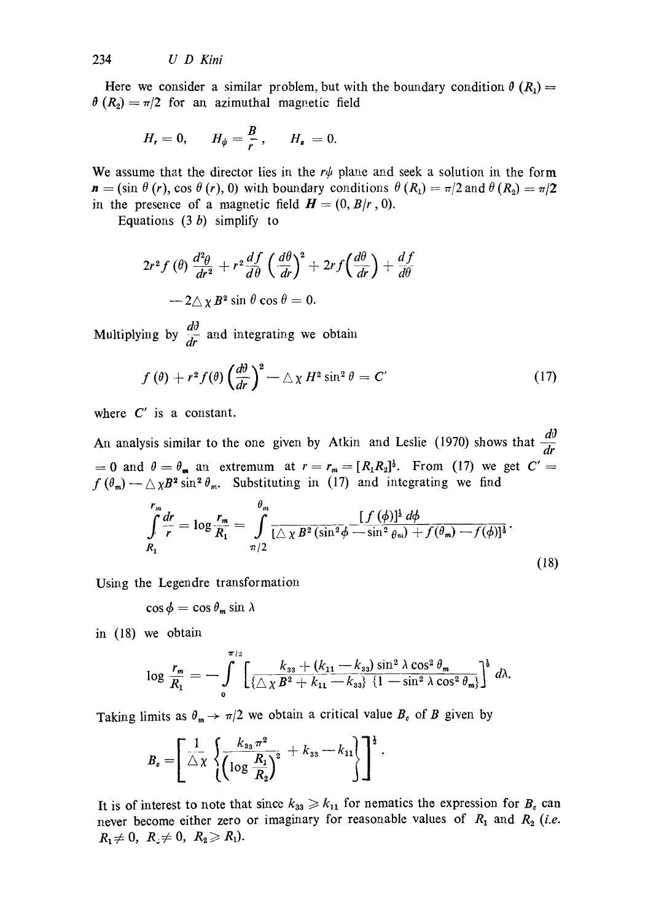Here we consider a similar problem, but with the boundary condition  $\theta(R_1)$  =  $\theta(R_2) = \pi/2$  for an azimuthal magnetic field

$$
H_r=0, \qquad H_{\psi}=\frac{B}{r}, \qquad H_{\ast}=0.
$$

We assume that the director lies in the  $r\psi$  plane and seek a solution in the form  $n = (\sin \theta (r), \cos \theta (r), 0)$  with boundary conditions  $\theta (R_1) = \pi/2$  and  $\theta (R_2) = \pi/2$ in the presence of a magnetic field  $H = (0, B/r, 0)$ .

Equations  $(3 b)$  simplify to

$$
2r^{2} f(\theta) \frac{d^{2} \theta}{dr^{2}} + r^{2} \frac{df}{d\theta} \left(\frac{d\theta}{dr}\right)^{2} + 2r f\left(\frac{d\theta}{dr}\right) + \frac{df}{d\theta}
$$

$$
-2\Delta \chi B^{2} \sin \theta \cos \theta = 0.
$$

Multiplying by  $\frac{d\theta}{dr}$  and integrating we obtain

$$
f(\theta) + r^2 f(\theta) \left(\frac{d\theta}{dr}\right)^2 - \triangle \chi H^2 \sin^2 \theta = C' \tag{17}
$$

where  $C'$  is a constant.

An analysis similar to the one given by Atkin and Leslie (1970) shows that  $\frac{d\theta}{dt}$ = 0 and  $\theta = \theta_m$  an extremum at  $r = r_m = [R_1R_2]^{\frac{1}{2}}$ . From (17) we get  $C' =$  $f$  ( $\theta_m$ ) --  $\triangle xB^2 \sin^2 \theta_m$ . Substituting in (17) and integrating we find

$$
\int_{R_1}^{r_m} \frac{dr}{r} = \log \frac{r_m}{R_1} = \int_{\pi/2}^{\theta_m} \frac{[f(\phi)]^{\frac{1}{2}} d\phi}{[\triangle \chi B^2 (\sin^2 \phi - \sin^2 \theta_m) + f(\theta_m) - f(\phi)]^{\frac{1}{2}}}.
$$
\n(18)

Using the Legendre transformation

 $\cos \phi = \cos \theta_m \sin \lambda$ 

in (18) we obtain

$$
\log \frac{r_m}{R_1} = - \int \limits_{0}^{\pi/2} \left[ \frac{k_{33} + (k_{11} - k_{33}) \sin^2 \lambda \cos^2 \theta_m}{\left\{ \bigtriangleup \chi B^2 + k_{11} - k_{33} \right\} \left\{ 1 - \sin^2 \lambda \cos^2 \theta_m \right\} \right]^{\frac{1}{2}} d\lambda.
$$

Taking limits as  $\theta_m \to \pi/2$  we obtain a critical value  $B_c$  of B given by

$$
B_e = \left[ \frac{1}{\triangle x} \left\{ \frac{k_{33} \pi^2}{\left( \log \frac{R_1}{R_2} \right)^2} + k_{33} - k_{11} \right\} \right]^{\frac{1}{2}}.
$$

It is of interest to note that since  $k_{33} \geq k_{11}$  for nematics the expression for  $B_c$  can never become either zero or imaginary for reasonable values of  $R_1$  and  $R_2$  (*i.e.*  $R_1 \neq 0, R_2 \neq 0, R_2 \geq R_1$ .